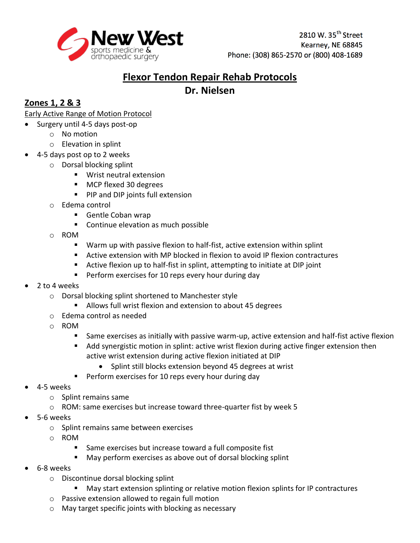

# **Flexor Tendon Repair Rehab Protocols Dr. Nielsen**

## **Zones 1, 2 & 3**

Early Active Range of Motion Protocol

- Surgery until 4-5 days post-op
	- o No motion
	- o Elevation in splint
- 4-5 days post op to 2 weeks
	- o Dorsal blocking splint
		- Wrist neutral extension
		- **MCP flexed 30 degrees**
		- **PIP and DIP joints full extension**
	- o Edema control
		- **Gentle Coban wrap**
		- **Continue elevation as much possible**
	- o ROM
		- Warm up with passive flexion to half-fist, active extension within splint
		- Active extension with MP blocked in flexion to avoid IP flexion contractures
		- Active flexion up to half-fist in splint, attempting to initiate at DIP joint
		- **Perform exercises for 10 reps every hour during day**
- 2 to 4 weeks
	- o Dorsal blocking splint shortened to Manchester style
		- Allows full wrist flexion and extension to about 45 degrees
	- o Edema control as needed
	- o ROM
		- Same exercises as initially with passive warm-up, active extension and half-fist active flexion
		- Add synergistic motion in splint: active wrist flexion during active finger extension then active wrist extension during active flexion initiated at DIP
			- Splint still blocks extension beyond 45 degrees at wrist
		- **Perform exercises for 10 reps every hour during day**
- 4-5 weeks
	- o Splint remains same
	- o ROM: same exercises but increase toward three-quarter fist by week 5
- 5-6 weeks
	- o Splint remains same between exercises
	- o ROM
		- Same exercises but increase toward a full composite fist
		- May perform exercises as above out of dorsal blocking splint
- 6-8 weeks
	- o Discontinue dorsal blocking splint
		- May start extension splinting or relative motion flexion splints for IP contractures
	- o Passive extension allowed to regain full motion
	- o May target specific joints with blocking as necessary